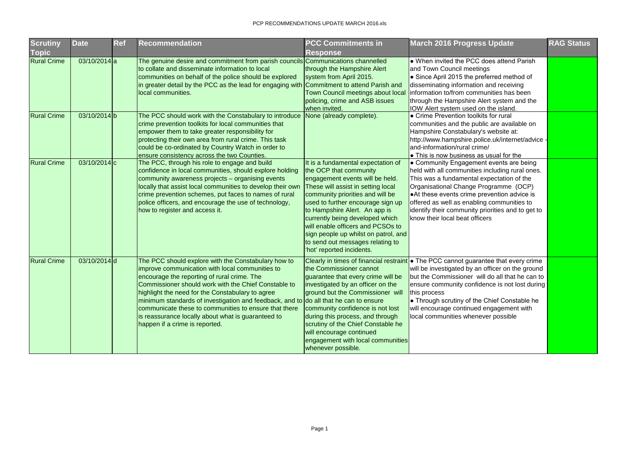| Scrutiny           | <b>Date</b>               | <b>Ref</b> | <b>Recommendation</b>                                                                                                                                                                                                                                                                                                                                                                                                                                                                                      | <b>PCC Commitments in</b>                                                                                                                                                                                                                                                                                                                                                                                                        | <b>March 2016 Progress Update</b>                                                                                                                                                                                                                                                                                                                                                                                                    | <b>RAG Status</b> |
|--------------------|---------------------------|------------|------------------------------------------------------------------------------------------------------------------------------------------------------------------------------------------------------------------------------------------------------------------------------------------------------------------------------------------------------------------------------------------------------------------------------------------------------------------------------------------------------------|----------------------------------------------------------------------------------------------------------------------------------------------------------------------------------------------------------------------------------------------------------------------------------------------------------------------------------------------------------------------------------------------------------------------------------|--------------------------------------------------------------------------------------------------------------------------------------------------------------------------------------------------------------------------------------------------------------------------------------------------------------------------------------------------------------------------------------------------------------------------------------|-------------------|
| Topic              |                           |            |                                                                                                                                                                                                                                                                                                                                                                                                                                                                                                            | <b>Response</b>                                                                                                                                                                                                                                                                                                                                                                                                                  |                                                                                                                                                                                                                                                                                                                                                                                                                                      |                   |
| <b>Rural Crime</b> | $03/10/2014$ a            |            | The genuine desire and commitment from parish councils Communications channelled<br>to collate and disseminate information to local<br>communities on behalf of the police should be explored<br>in greater detail by the PCC as the lead for engaging with<br>local communities.                                                                                                                                                                                                                          | through the Hampshire Alert<br>system from April 2015.<br>Commitment to attend Parish and<br>Town Council meetings about local<br>policing, crime and ASB issues<br>when invited.                                                                                                                                                                                                                                                | • When invited the PCC does attend Parish<br>and Town Council meetings<br>• Since April 2015 the preferred method of<br>disseminating information and receiving<br>linformation to/from communities has been<br>through the Hampshire Alert system and the<br><b>IOW Alert system used on the island.</b>                                                                                                                            |                   |
| <b>Rural Crime</b> | 03/10/2014b               |            | The PCC should work with the Constabulary to introduce<br>crime prevention toolkits for local communities that<br>empower them to take greater responsibility for<br>protecting their own area from rural crime. This task<br>could be co-ordinated by Country Watch in order to<br>ensure consistency across the two Counties.                                                                                                                                                                            | None (already complete).                                                                                                                                                                                                                                                                                                                                                                                                         | • Crime Prevention toolkits for rural<br>communities and the public are available on<br>Hampshire Constabulary's website at:<br>http://www.hampshire.police.uk/internet/advice -<br>and-information/rural crime/<br>• This is now business as usual for the                                                                                                                                                                          |                   |
| <b>Rural Crime</b> | $03/10/2014$ <sub>c</sub> |            | The PCC, through his role to engage and build<br>confidence in local communities, should explore holding<br>community awareness projects - organising events<br>locally that assist local communities to develop their own<br>crime prevention schemes, put faces to names of rural<br>police officers, and encourage the use of technology,<br>how to register and access it.                                                                                                                             | It is a fundamental expectation of<br>the OCP that community<br>engagement events will be held.<br>These will assist in setting local<br>community priorities and will be<br>used to further encourage sign up<br>to Hampshire Alert. An app is<br>currently being developed which<br>will enable officers and PCSOs to<br>sign people up whilst on patrol, and<br>to send out messages relating to<br>'hot' reported incidents. | • Community Engagement events are being<br>held with all communities including rural ones.<br>This was a fundamental expectation of the<br>Organisational Change Programme (OCP)<br>• At these events crime prevention advice is<br>offered as well as enabling communities to<br>identify their community priorities and to get to<br>know their local beat officers                                                                |                   |
| <b>Rural Crime</b> | $03/10/2014$ d            |            | The PCC should explore with the Constabulary how to<br>improve communication with local communities to<br>encourage the reporting of rural crime. The<br>Commissioner should work with the Chief Constable to<br>highlight the need for the Constabulary to agree<br>minimum standards of investigation and feedback, and to do all that he can to ensure<br>communicate these to communities to ensure that there<br>is reassurance locally about what is guaranteed to<br>happen if a crime is reported. | the Commissioner cannot<br>investigated by an officer on the<br>ground but the Commissioner will<br>community confidence is not lost<br>during this process, and through<br>scrutiny of the Chief Constable he<br>will encourage continued<br>engagement with local communities<br>whenever possible.                                                                                                                            | Clearly in times of financial restraint • The PCC cannot guarantee that every crime<br>will be investigated by an officer on the ground<br>guarantee that every crime will be   but the Commissioner will do all that he can to<br>ensure community confidence is not lost during<br>this process<br>• Through scrutiny of the Chief Constable he<br>will encourage continued engagement with<br>local communities whenever possible |                   |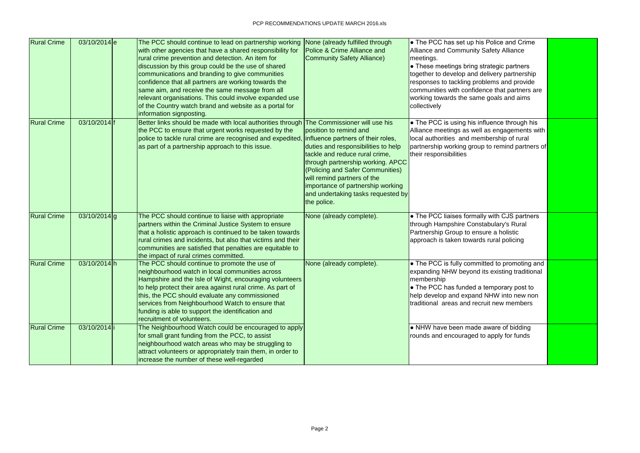| <b>Rural Crime</b> | $03/10/2014$ e | The PCC should continue to lead on partnership working<br>with other agencies that have a shared responsibility for<br>rural crime prevention and detection. An item for<br>discussion by this group could be the use of shared<br>communications and branding to give communities<br>confidence that all partners are working towards the<br>same aim, and receive the same message from all<br>relevant organisations. This could involve expanded use<br>of the Country watch brand and website as a portal for<br>information signposting. | None (already fulfilled through<br>Police & Crime Alliance and<br><b>Community Safety Alliance)</b>                                                                                                                                                                                                                                                                      | • The PCC has set up his Police and Crime<br><b>Alliance and Community Safety Alliance</b><br>meetings.<br>• These meetings bring strategic partners<br>together to develop and delivery partnership<br>responses to tackling problems and provide<br>communities with confidence that partners are<br>working towards the same goals and aims<br>collectively |
|--------------------|----------------|------------------------------------------------------------------------------------------------------------------------------------------------------------------------------------------------------------------------------------------------------------------------------------------------------------------------------------------------------------------------------------------------------------------------------------------------------------------------------------------------------------------------------------------------|--------------------------------------------------------------------------------------------------------------------------------------------------------------------------------------------------------------------------------------------------------------------------------------------------------------------------------------------------------------------------|----------------------------------------------------------------------------------------------------------------------------------------------------------------------------------------------------------------------------------------------------------------------------------------------------------------------------------------------------------------|
| <b>Rural Crime</b> | 03/10/2014 f   | Better links should be made with local authorities through<br>the PCC to ensure that urgent works requested by the<br>police to tackle rural crime are recognised and expedited<br>as part of a partnership approach to this issue.                                                                                                                                                                                                                                                                                                            | The Commissioner will use his<br>position to remind and<br>influence partners of their roles,<br>duties and responsibilities to help<br>tackle and reduce rural crime,<br>through partnership working. APCC<br>(Policing and Safer Communities)<br>will remind partners of the<br>importance of partnership working<br>and undertaking tasks requested by<br>the police. | • The PCC is using his influence through his<br>Alliance meetings as well as engagements with<br>local authorities and membership of rural<br>partnership working group to remind partners of<br>their responsibilities                                                                                                                                        |
| <b>Rural Crime</b> | $03/10/2014$ g | The PCC should continue to liaise with appropriate<br>partners within the Criminal Justice System to ensure<br>that a holistic approach is continued to be taken towards<br>rural crimes and incidents, but also that victims and their<br>communities are satisfied that penalties are equitable to<br>the impact of rural crimes committed.                                                                                                                                                                                                  | None (already complete).                                                                                                                                                                                                                                                                                                                                                 | • The PCC liaises formally with CJS partners<br>through Hampshire Constabulary's Rural<br>Partnership Group to ensure a holistic<br>approach is taken towards rural policing                                                                                                                                                                                   |
| <b>Rural Crime</b> | 03/10/2014h    | The PCC should continue to promote the use of<br>neighbourhood watch in local communities across<br>Hampshire and the Isle of Wight, encouraging volunteers<br>to help protect their area against rural crime. As part of<br>this, the PCC should evaluate any commissioned<br>services from Neighbourhood Watch to ensure that<br>funding is able to support the identification and<br>recruitment of volunteers.                                                                                                                             | None (already complete).                                                                                                                                                                                                                                                                                                                                                 | • The PCC is fully committed to promoting and<br>expanding NHW beyond its existing traditional<br>membership<br>$\bullet$ The PCC has funded a temporary post to<br>help develop and expand NHW into new non<br>Itraditional areas and recruit new members                                                                                                     |
| <b>Rural Crime</b> | 03/10/2014 i   | The Neighbourhood Watch could be encouraged to apply<br>for small grant funding from the PCC, to assist<br>neighbourhood watch areas who may be struggling to<br>attract volunteers or appropriately train them, in order to<br>increase the number of these well-regarded                                                                                                                                                                                                                                                                     |                                                                                                                                                                                                                                                                                                                                                                          | • NHW have been made aware of bidding<br>rounds and encouraged to apply for funds                                                                                                                                                                                                                                                                              |

| Police and Crime                                 |  |
|--------------------------------------------------|--|
| Safety Alliance                                  |  |
|                                                  |  |
| trategic partners                                |  |
| elivery partnership                              |  |
| blems and provide                                |  |
| nce that partners are                            |  |
| goals and aims                                   |  |
|                                                  |  |
|                                                  |  |
| fluence through his                              |  |
| as engagements with                              |  |
| hbership of rural                                |  |
| to remind partners of                            |  |
|                                                  |  |
|                                                  |  |
|                                                  |  |
|                                                  |  |
|                                                  |  |
|                                                  |  |
|                                                  |  |
|                                                  |  |
| y with CJS partners                              |  |
| abulary's Rural                                  |  |
| ure a holistic                                   |  |
| s rural policing                                 |  |
|                                                  |  |
|                                                  |  |
| tted to promoting and<br>ts existing traditional |  |
|                                                  |  |
| temporary post to                                |  |
| NHW into new non                                 |  |
| uit new members                                  |  |
|                                                  |  |
|                                                  |  |
| aware of bidding                                 |  |
| p apply for funds                                |  |
|                                                  |  |
|                                                  |  |
|                                                  |  |
|                                                  |  |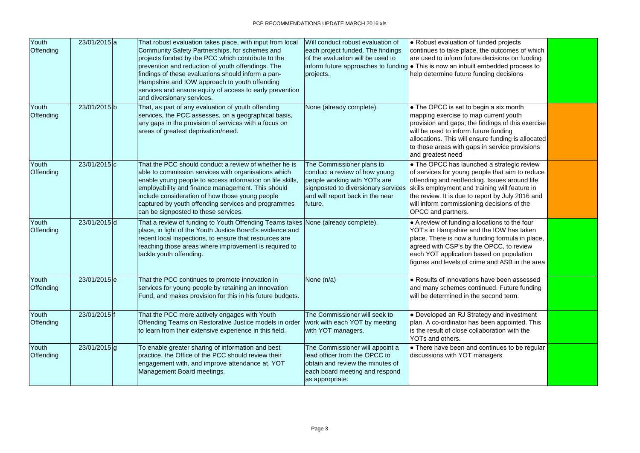| Youth<br>Offending        | 23/01/2015 a   | That robust evaluation takes place, with input from local<br>Community Safety Partnerships, for schemes and<br>projects funded by the PCC which contribute to the<br>prevention and reduction of youth offendings. The<br>findings of these evaluations should inform a pan-<br>Hampshire and IOW approach to youth offending<br>services and ensure equity of access to early prevention<br>and diversionary services. | Will conduct robust evaluation of<br>each project funded. The findings<br>of the evaluation will be used to<br>projects.                                                         | • Robust evaluation of funded projects<br>continues to take place, the outcomes of which<br>are used to inform future decisions on funding<br>inform future approaches to funding $\bullet$ This is now an inbuilt embedded process to<br>help determine future funding decisions                                        |  |
|---------------------------|----------------|-------------------------------------------------------------------------------------------------------------------------------------------------------------------------------------------------------------------------------------------------------------------------------------------------------------------------------------------------------------------------------------------------------------------------|----------------------------------------------------------------------------------------------------------------------------------------------------------------------------------|--------------------------------------------------------------------------------------------------------------------------------------------------------------------------------------------------------------------------------------------------------------------------------------------------------------------------|--|
| Youth<br><b>Offending</b> | 23/01/2015b    | That, as part of any evaluation of youth offending<br>services, the PCC assesses, on a geographical basis,<br>any gaps in the provision of services with a focus on<br>areas of greatest deprivation/need.                                                                                                                                                                                                              | None (already complete).                                                                                                                                                         | • The OPCC is set to begin a six month<br>mapping exercise to map current youth<br>provision and gaps; the findings of this exercise<br>will be used to inform future funding<br>allocations. This will ensure funding is allocated<br>to those areas with gaps in service provisions<br>and greatest need               |  |
| Youth<br><b>Offending</b> | 23/01/2015 c   | That the PCC should conduct a review of whether he is<br>able to commission services with organisations which<br>enable young people to access information on life skills,<br>employability and finance management. This should<br>include consideration of how those young people<br>captured by youth offending services and programmes<br>can be signposted to these services.                                       | The Commissioner plans to<br>conduct a review of how young<br>people working with YOTs are<br>signposted to diversionary services<br>and will report back in the near<br>future. | • The OPCC has launched a strategic review<br>of services for young people that aim to reduce<br>offending and reoffending. Issues around life<br>skills employment and training will feature in<br>the review. It is due to report by July 2016 and<br>will inform commissioning decisions of the<br>OPCC and partners. |  |
| Youth<br>Offending        | 23/01/2015d    | That a review of funding to Youth Offending Teams takes None (already complete).<br>place, in light of the Youth Justice Board's evidence and<br>recent local inspections, to ensure that resources are<br>reaching those areas where improvement is required to<br>tackle youth offending.                                                                                                                             |                                                                                                                                                                                  | • A review of funding allocations to the four<br>YOT's in Hampshire and the IOW has taken<br>place. There is now a funding formula in place,<br>agreed with CSP's by the OPCC, to review<br>each YOT application based on population<br>figures and levels of crime and ASB in the area                                  |  |
| Youth<br><b>Offending</b> | 23/01/2015e    | That the PCC continues to promote innovation in<br>services for young people by retaining an Innovation<br>Fund, and makes provision for this in his future budgets.                                                                                                                                                                                                                                                    | None (n/a)                                                                                                                                                                       | • Results of innovations have been assessed<br>and many schemes continued. Future funding<br>will be determined in the second term.                                                                                                                                                                                      |  |
| Youth<br><b>Offending</b> | 23/01/2015 f   | That the PCC more actively engages with Youth<br><b>Offending Teams on Restorative Justice models in order</b><br>to learn from their extensive experience in this field.                                                                                                                                                                                                                                               | The Commissioner will seek to<br>work with each YOT by meeting<br>with YOT managers.                                                                                             | • Developed an RJ Strategy and investment<br>plan. A co-ordinator has been appointed. This<br>is the result of close collaboration with the<br>YOTs and others.                                                                                                                                                          |  |
| Youth<br><b>Offending</b> | $23/01/2015$ g | To enable greater sharing of information and best<br>practice, the Office of the PCC should review their<br>engagement with, and improve attendance at, YOT<br>Management Board meetings.                                                                                                                                                                                                                               | The Commissioner will appoint a<br>lead officer from the OPCC to<br>obtain and review the minutes of<br>each board meeting and respond<br>as appropriate.                        | • There have been and continues to be regular<br>discussions with YOT managers                                                                                                                                                                                                                                           |  |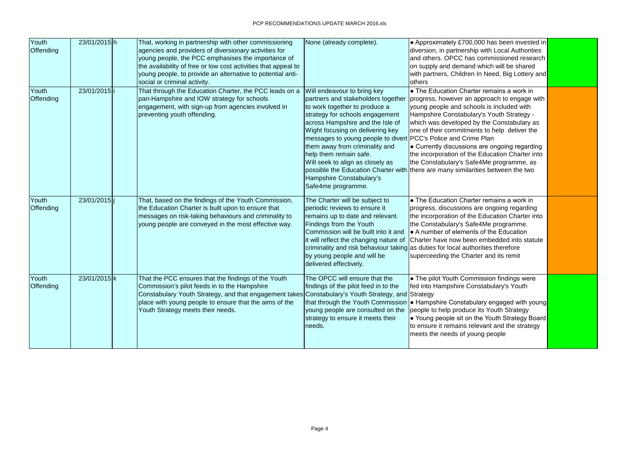| Youth<br><b>Offending</b> | 23/01/2015h  | That, working in partnership with other commissioning<br>agencies and providers of diversionary activities for<br>young people, the PCC emphasises the importance of<br>the availability of free or low cost activities that appeal to<br>young people, to provide an alternative to potential anti-<br>social or criminal activity. | None (already complete).                                                                                                                                                                                                                                                                                                                                                                                                          | • Approximately £700,000 has been invested in<br>diversion, in partnership with Local Authorities<br>and others. OPCC has commissioned research<br>on supply and demand which will be shared<br>with partners, Children In Need, Big Lottery and<br>others                                                                                                                                                                                                                                                           |  |
|---------------------------|--------------|--------------------------------------------------------------------------------------------------------------------------------------------------------------------------------------------------------------------------------------------------------------------------------------------------------------------------------------|-----------------------------------------------------------------------------------------------------------------------------------------------------------------------------------------------------------------------------------------------------------------------------------------------------------------------------------------------------------------------------------------------------------------------------------|----------------------------------------------------------------------------------------------------------------------------------------------------------------------------------------------------------------------------------------------------------------------------------------------------------------------------------------------------------------------------------------------------------------------------------------------------------------------------------------------------------------------|--|
| Youth<br>Offending        | 23/01/2015 i | That through the Education Charter, the PCC leads on a<br>pan-Hampshire and IOW strategy for schools<br>engagement, with sign-up from agencies involved in<br>preventing youth offending.                                                                                                                                            | Will endeavour to bring key<br>partners and stakeholders together<br>to work together to produce a<br>strategy for schools engagement<br>across Hampshire and the Isle of<br>Wight focusing on delivering key<br>messages to young people to divert PCC's Police and Crime Plan<br>them away from criminality and<br>help them remain safe.<br>Will seek to align as closely as<br>Hampshire Constabulary's<br>Safe4me programme. | • The Education Charter remains a work in<br>progress, however an approach to engage with<br>young people and schools is included with<br>Hampshire Constabulary's Youth Strategy -<br>which was developed by the Constabulary as<br>one of their commitments to help deliver the<br>• Currently discussions are ongoing regarding<br>the incorporation of the Education Charter into<br>the Constabulary's Safe4Me programme, as<br>possible the Education Charter with there are many similarities between the two |  |
| Youth<br>Offending        | 23/01/2015 i | That, based on the findings of the Youth Commission,<br>the Education Charter is built upon to ensure that<br>messages on risk-taking behaviours and criminality to<br>young people are conveyed in the most effective way.                                                                                                          | The Charter will be subject to<br>periodic reviews to ensure it<br>remains up to date and relevant.<br>Findings from the Youth<br>Commission will be built into it and<br>it will reflect the changing nature of<br>by young people and will be<br>delivered effectively.                                                                                                                                                         | • The Education Charter remains a work in<br>progress, discussions are ongoing regarding<br>the incorporation of the Education Charter into<br>the Constabulary's Safe4Me programme.<br>A number of elements of the Education<br>Charter have now been embedded into statute<br>criminality and risk behaviour taking as duties for local authorities therefore<br>superceeding the Charter and its remit                                                                                                            |  |
| Youth<br><b>Offending</b> | 23/01/2015 k | That the PCC ensures that the findings of the Youth<br>Commission's pilot feeds in to the Hampshire<br>Constabulary Youth Strategy, and that engagement takes Constabulary's Youth Strategy, and Strategy<br>place with young people to ensure that the aims of the<br>Youth Strategy meets their needs.                             | The OPCC will ensure that the<br>findings of the pilot feed in to the<br>young people are consulted on the<br>strategy to ensure it meets their<br>needs.                                                                                                                                                                                                                                                                         | • The pilot Youth Commission findings were<br>fed into Hampshire Constabulary's Youth<br>that through the Youth Commission  ● Hampshire Constabulary engaged with young<br>people to help produce its Youth Strategy<br>• Young people sit on the Youth Strategy Board<br>to ensure it remains relevant and the strategy<br>meets the needs of young people                                                                                                                                                          |  |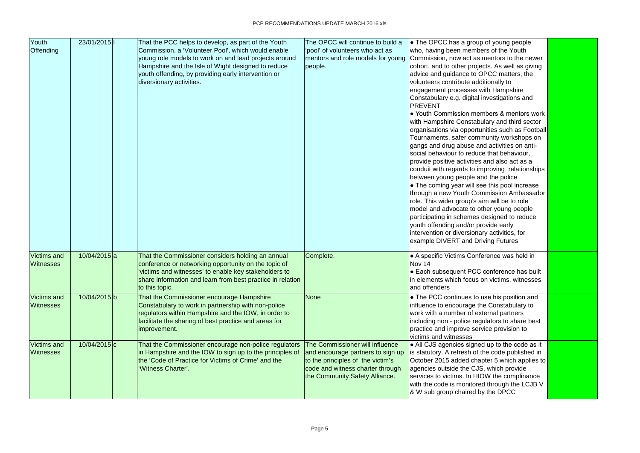| Youth              | 23/01/2015     | That the PCC helps to develop, as part of the Youth        | The OPCC will continue to build a | • The OPCC has a group of young people                         |  |
|--------------------|----------------|------------------------------------------------------------|-----------------------------------|----------------------------------------------------------------|--|
| Offending          |                | Commission, a 'Volunteer Pool', which would enable         | 'pool' of volunteers who act as   | who, having been members of the Youth                          |  |
|                    |                | young role models to work on and lead projects around      | mentors and role models for young | Commission, now act as mentors to the newer                    |  |
|                    |                | Hampshire and the Isle of Wight designed to reduce         | people.                           | cohort, and to other projects. As well as giving               |  |
|                    |                | youth offending, by providing early intervention or        |                                   | advice and guidance to OPCC matters, the                       |  |
|                    |                | diversionary activities.                                   |                                   | volunteers contribute additionally to                          |  |
|                    |                |                                                            |                                   | engagement processes with Hampshire                            |  |
|                    |                |                                                            |                                   | Constabulary e.g. digital investigations and<br><b>PREVENT</b> |  |
|                    |                |                                                            |                                   | • Youth Commission members & mentors work                      |  |
|                    |                |                                                            |                                   | with Hampshire Constabulary and third sector                   |  |
|                    |                |                                                            |                                   | organisations via opportunities such as Football               |  |
|                    |                |                                                            |                                   | Tournaments, safer community workshops on                      |  |
|                    |                |                                                            |                                   | gangs and drug abuse and activities on anti-                   |  |
|                    |                |                                                            |                                   | social behaviour to reduce that behaviour,                     |  |
|                    |                |                                                            |                                   | provide positive activities and also act as a                  |  |
|                    |                |                                                            |                                   | conduit with regards to improving relationships                |  |
|                    |                |                                                            |                                   | between young people and the police                            |  |
|                    |                |                                                            |                                   | • The coming year will see this pool increase                  |  |
|                    |                |                                                            |                                   | through a new Youth Commission Ambassador                      |  |
|                    |                |                                                            |                                   | role. This wider group's aim will be to role                   |  |
|                    |                |                                                            |                                   | model and advocate to other young people                       |  |
|                    |                |                                                            |                                   | participating in schemes designed to reduce                    |  |
|                    |                |                                                            |                                   | youth offending and/or provide early                           |  |
|                    |                |                                                            |                                   | intervention or diversionary activities, for                   |  |
|                    |                |                                                            |                                   | example DIVERT and Driving Futures                             |  |
| <b>Victims and</b> | $10/04/2015$ a | That the Commissioner considers holding an annual          | Complete.                         | • A specific Victims Conference was held in                    |  |
| <b>Witnesses</b>   |                | conference or networking opportunity on the topic of       |                                   | Nov 14                                                         |  |
|                    |                | victims and witnesses' to enable key stakeholders to       |                                   | • Each subsequent PCC conference has built                     |  |
|                    |                | share information and learn from best practice in relation |                                   | in elements which focus on victims, witnesses                  |  |
|                    |                | to this topic.                                             |                                   | and offenders                                                  |  |
| <b>Victims and</b> | 10/04/2015b    | That the Commissioner encourage Hampshire                  | None                              | • The PCC continues to use his position and                    |  |
| <b>Witnesses</b>   |                | Constabulary to work in partnership with non-police        |                                   | influence to encourage the Constabulary to                     |  |
|                    |                | regulators within Hampshire and the IOW, in order to       |                                   | work with a number of external partners                        |  |
|                    |                | facilitate the sharing of best practice and areas for      |                                   | including non - police regulators to share best                |  |
|                    |                | improvement.                                               |                                   | practice and improve service provision to                      |  |
|                    |                |                                                            |                                   | victims and witnesses                                          |  |
| <b>Victims and</b> | 10/04/2015 c   | That the Commissioner encourage non-police regulators      | The Commissioner will influence   | • All CJS agencies signed up to the code as it                 |  |
| <b>Witnesses</b>   |                | in Hampshire and the IOW to sign up to the principles of   | and encourage partners to sign up | is statutory. A refresh of the code published in               |  |
|                    |                | the 'Code of Practice for Victims of Crime' and the        | to the principles of the victim's | October 2015 added chapter 5 which applies to                  |  |
|                    |                | 'Witness Charter'.                                         | code and witness charter through  | agencies outside the CJS, which provide                        |  |
|                    |                |                                                            | the Community Safety Alliance.    | services to victims. In HIOW the complinance                   |  |
|                    |                |                                                            |                                   | with the code is monitored through the LCJB V                  |  |
|                    |                |                                                            |                                   | & W sub group chaired by the DPCC                              |  |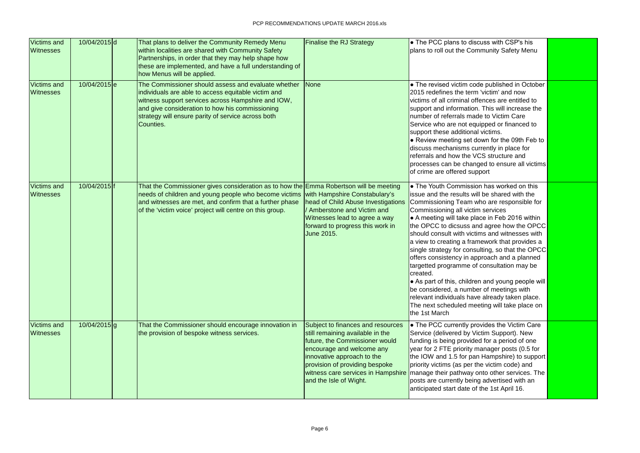| <b>Victims and</b><br><b>Witnesses</b> | 10/04/2015d    | That plans to deliver the Community Remedy Menu<br>within localities are shared with Community Safety<br>Partnerships, in order that they may help shape how<br>these are implemented, and have a full understanding of<br>how Menus will be applied.                                                | <b>Finalise the RJ Strategy</b>                                                                                                                                                                                                                                      | • The PCC plans to discuss with CSP's his<br>plans to roll out the Community Safety Menu                                                                                                                                                                                                                                                                                                                                                                                                                                                                                                                                                                                                                                                                           |  |
|----------------------------------------|----------------|------------------------------------------------------------------------------------------------------------------------------------------------------------------------------------------------------------------------------------------------------------------------------------------------------|----------------------------------------------------------------------------------------------------------------------------------------------------------------------------------------------------------------------------------------------------------------------|--------------------------------------------------------------------------------------------------------------------------------------------------------------------------------------------------------------------------------------------------------------------------------------------------------------------------------------------------------------------------------------------------------------------------------------------------------------------------------------------------------------------------------------------------------------------------------------------------------------------------------------------------------------------------------------------------------------------------------------------------------------------|--|
| <b>Victims and</b><br><b>Witnesses</b> | $10/04/2015$ e | The Commissioner should assess and evaluate whether<br>individuals are able to access equitable victim and<br>witness support services across Hampshire and IOW,<br>and give consideration to how his commissioning<br>strategy will ensure parity of service across both<br>Counties.               | None                                                                                                                                                                                                                                                                 | • The revised victim code published in October<br>2015 redefines the term 'victim' and now<br>victims of all criminal offences are entitled to<br>support and information. This will increase the<br>Inumber of referrals made to Victim Care<br>Service who are not equipped or financed to<br>support these additional victims.<br>• Review meeting set down for the 09th Feb to<br>discuss mechanisms currently in place for<br>referrals and how the VCS structure and<br>processes can be changed to ensure all victims<br>of crime are offered support                                                                                                                                                                                                       |  |
| <b>Victims and</b><br><b>Witnesses</b> | 10/04/2015 f   | That the Commissioner gives consideration as to how the Emma Robertson will be meeting<br>needs of children and young people who become victims with Hampshire Constabulary's<br>and witnesses are met, and confirm that a further phase<br>of the 'victim voice' project will centre on this group. | head of Child Abuse Investigations<br>/ Amberstone and Victim and<br>Witnesses lead to agree a way<br>forward to progress this work in<br><b>June 2015.</b>                                                                                                          | • The Youth Commission has worked on this<br>issue and the results will be shared with the<br>Commissioning Team who are responsible for<br>Commissioning all victim services<br>A meeting will take place in Feb 2016 within<br>the OPCC to dicsuss and agree how the OPCC<br>should consult with victims and witnesses with<br>a view to creating a framework that provides a<br>single strategy for consulting, so that the OPCC<br>offers consistency in approach and a planned<br>targetted programme of consultation may be<br>created.<br>• As part of this, children and young people will<br>be considered, a number of meetings with<br>relevant individuals have already taken place.<br>The next scheduled meeting will take place on<br>the 1st March |  |
| <b>Victims and</b><br><b>Witnesses</b> | $10/04/2015$ g | That the Commissioner should encourage innovation in<br>the provision of bespoke witness services.                                                                                                                                                                                                   | Subject to finances and resources<br>still remaining available in the<br>future, the Commissioner would<br>encourage and welcome any<br>innovative approach to the<br>provision of providing bespoke<br>witness care services in Hampshire<br>and the Isle of Wight. | • The PCC currently provides the Victim Care<br>Service (delivered by Victim Support). New<br>funding is being provided for a period of one<br>year for 2 FTE priority manager posts (0.5 for<br>the IOW and 1.5 for pan Hampshire) to support<br>priority victims (as per the victim code) and<br>manage their pathway onto other services. The<br>posts are currently being advertised with an<br>anticipated start date of the 1st April 16.                                                                                                                                                                                                                                                                                                                    |  |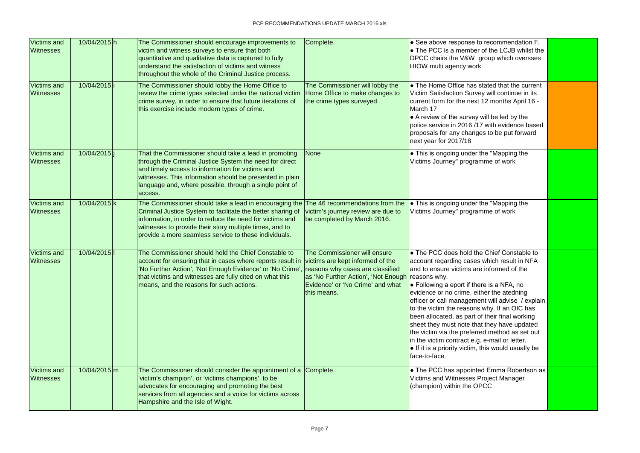| <b>Victims and</b><br><b>Witnesses</b> | 10/04/2015h  | The Commissioner should encourage improvements to<br>victim and witness surveys to ensure that both<br>quantitative and qualitative data is captured to fully<br>understand the satisfaction of victims and witness<br>throughout the whole of the Criminal Justice process.                           | Complete.                                                                                                                                                                                                   | $\bullet$ See above response to recommendation F.<br>$\bullet$ The PCC is a member of the LCJB whilst the<br>DPCC chairs the V&W group which oversses<br>HIOW multi agency work                                                                                                                                                                                                                                                                                                                                                                                                                                                  |  |
|----------------------------------------|--------------|--------------------------------------------------------------------------------------------------------------------------------------------------------------------------------------------------------------------------------------------------------------------------------------------------------|-------------------------------------------------------------------------------------------------------------------------------------------------------------------------------------------------------------|----------------------------------------------------------------------------------------------------------------------------------------------------------------------------------------------------------------------------------------------------------------------------------------------------------------------------------------------------------------------------------------------------------------------------------------------------------------------------------------------------------------------------------------------------------------------------------------------------------------------------------|--|
| <b>Victims and</b><br><b>Witnesses</b> | 10/04/2015 i | The Commissioner should lobby the Home Office to<br>review the crime types selected under the national victim<br>crime survey, in order to ensure that future iterations of<br>this exercise include modern types of crime.                                                                            | The Commissioner will lobby the<br>Home Office to make changes to<br>the crime types surveyed.                                                                                                              | $\bullet$ The Home Office has stated that the current<br>Victim Satisfaction Survey will continue in its<br>current form for the next 12 months April 16 -<br>March 17<br>• A review of the survey will be led by the<br>police service in 2016/17 with evidence based<br>proposals for any changes to be put forward<br>next year for 2017/18                                                                                                                                                                                                                                                                                   |  |
| <b>Victims and</b><br><b>Witnesses</b> | 10/04/2015 j | That the Commissioner should take a lead in promoting<br>through the Criminal Justice System the need for direct<br>and timely access to information for victims and<br>witnesses. This information should be presented in plain<br>language and, where possible, through a single point of<br>access. | <b>None</b>                                                                                                                                                                                                 | • This is ongoing under the "Mapping the<br>Victims Journey" programme of work                                                                                                                                                                                                                                                                                                                                                                                                                                                                                                                                                   |  |
| <b>Victims and</b><br><b>Witnesses</b> | 10/04/2015 k | The Commissioner should take a lead in encouraging the<br>Criminal Justice System to facilitate the better sharing of<br>information, in order to reduce the need for victims and<br>witnesses to provide their story multiple times, and to<br>provide a more seamless service to these individuals.  | The 46 recommendations from the<br>victim's journey review are due to<br>be completed by March 2016.                                                                                                        | • This is ongoing under the "Mapping the<br>Victims Journey" programme of work                                                                                                                                                                                                                                                                                                                                                                                                                                                                                                                                                   |  |
| <b>Victims and</b><br><b>Witnesses</b> | 10/04/2015   | The Commissioner should hold the Chief Constable to<br>account for ensuring that in cases where reports result in<br>'No Further Action', 'Not Enough Evidence' or 'No Crime',<br>that victims and witnesses are fully cited on what this<br>means, and the reasons for such actions.                  | The Commissioner will ensure<br>victims are kept informed of the<br>reasons why cases are classified<br>as 'No Further Action', 'Not Enough reasons why.<br>Evidence' or 'No Crime' and what<br>this means. | • The PCC does hold the Chief Constable to<br>account regarding cases which result in NFA<br>and to ensure victims are informed of the<br>$\bullet$ Following a eport if there is a NFA, no<br>evidence or no crime, either the atedning<br>officer or call management will advise / explain<br>to the victim the reasons why. If an OIC has<br>been allocated, as part of their final working<br>sheet they must note that they have updated<br>the victim via the preferred method as set out<br>in the victim contract e.g. e-mail or letter.<br>$\bullet$ If it is a priority victim, this would usually be<br>face-to-face. |  |
| <b>Victims and</b><br><b>Witnesses</b> | 10/04/2015m  | The Commissioner should consider the appointment of a Complete.<br>'victim's champion', or 'victims champions', to be<br>advocates for encouraging and promoting the best<br>services from all agencies and a voice for victims across<br>Hampshire and the Isle of Wight.                             |                                                                                                                                                                                                             | • The PCC has appointed Emma Robertson as<br>Victims and Witnesses Project Manager<br>(champion) within the OPCC                                                                                                                                                                                                                                                                                                                                                                                                                                                                                                                 |  |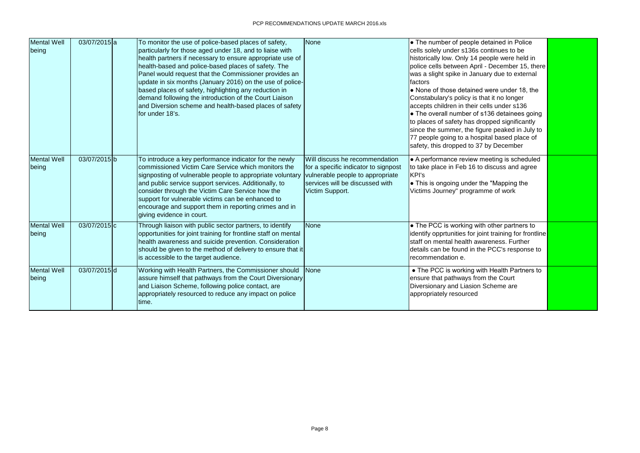| <b>Mental Well</b><br>being | 03/07/2015 a | To monitor the use of police-based places of safety,<br>particularly for those aged under 18, and to liaise with<br>health partners if necessary to ensure appropriate use of<br>health-based and police-based places of safety. The<br>Panel would request that the Commissioner provides an<br>update in six months (January 2016) on the use of police-<br>based places of safety, highlighting any reduction in<br>demand following the introduction of the Court Liaison<br>and Diversion scheme and health-based places of safety<br>for under 18's. | None                                                                                                                                                             | • The number of people detained in Police<br>cells solely under s136s continues to be<br>historically low. Only 14 people were held in<br>police cells between April - December 15, there<br>was a slight spike in January due to external<br>factors<br>• None of those detained were under 18, the<br>Constabulary's policy is that it no longer<br>accepts children in their cells under s136<br>• The overall number of s136 detainees going<br>to places of safety has dropped significantly<br>since the summer, the figure peaked in July to<br>77 people going to a hospital based place of<br>safety, this dropped to 37 by December |  |
|-----------------------------|--------------|------------------------------------------------------------------------------------------------------------------------------------------------------------------------------------------------------------------------------------------------------------------------------------------------------------------------------------------------------------------------------------------------------------------------------------------------------------------------------------------------------------------------------------------------------------|------------------------------------------------------------------------------------------------------------------------------------------------------------------|-----------------------------------------------------------------------------------------------------------------------------------------------------------------------------------------------------------------------------------------------------------------------------------------------------------------------------------------------------------------------------------------------------------------------------------------------------------------------------------------------------------------------------------------------------------------------------------------------------------------------------------------------|--|
| Mental Well<br>being        | 03/07/2015b  | To introduce a key performance indicator for the newly<br>commissioned Victim Care Service which monitors the<br>signposting of vulnerable people to appropriate voluntary<br>and public service support services. Additionally, to<br>consider through the Victim Care Service how the<br>support for vulnerable victims can be enhanced to<br>encourage and support them in reporting crimes and in<br>giving evidence in court.                                                                                                                         | Will discuss he recommendation<br>for a specific indicator to signpost<br>vulnerable people to appropriate<br>services will be discussed with<br>Victim Support. | • A performance review meeting is scheduled<br>to take place in Feb 16 to discuss and agree<br>KPI's<br>• This is ongoing under the "Mapping the<br>Victims Journey" programme of work                                                                                                                                                                                                                                                                                                                                                                                                                                                        |  |
| Mental Well<br>being        | 03/07/2015 c | Through liaison with public sector partners, to identify<br>opportunities for joint training for frontline staff on mental<br>health awareness and suicide prevention. Consideration<br>should be given to the method of delivery to ensure that it<br>is accessible to the target audience.                                                                                                                                                                                                                                                               | None                                                                                                                                                             | • The PCC is working with other partners to<br>identify opprtunities for joint training for frontline<br>staff on mental health awareness. Further<br>details can be found in the PCC's response to<br>recommendation e.                                                                                                                                                                                                                                                                                                                                                                                                                      |  |
| <b>Mental Well</b><br>being | 03/07/2015d  | Working with Health Partners, the Commissioner should<br>assure himself that pathways from the Court Diversionary<br>and Liaison Scheme, following police contact, are<br>appropriately resourced to reduce any impact on police<br>time.                                                                                                                                                                                                                                                                                                                  | None                                                                                                                                                             | • The PCC is working with Health Partners to<br>ensure that pathways from the Court<br>Diversionary and Liasion Scheme are<br>appropriately resourced                                                                                                                                                                                                                                                                                                                                                                                                                                                                                         |  |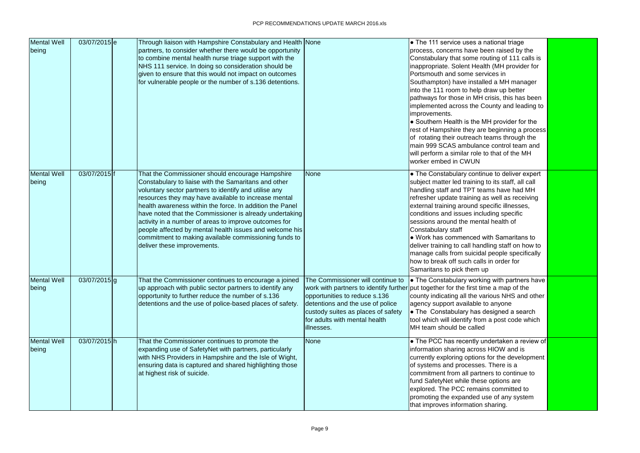| <b>Mental Well</b><br>being | 03/07/2015e  | Through liaison with Hampshire Constabulary and Health None<br>partners, to consider whether there would be opportunity<br>to combine mental health nurse triage support with the<br>NHS 111 service. In doing so consideration should be<br>given to ensure that this would not impact on outcomes<br>for vulnerable people or the number of s.136 detentions.                                                                                                                                                                                              |                                                                                                                                                                                             | $\bullet$ The 111 service uses a national triage<br>process, concerns have been raised by the<br>Constabulary that some routing of 111 calls is<br>inappropriate. Solent Health (MH provider for<br>Portsmouth and some services in<br>Southampton) have installed a MH manager<br>into the 111 room to help draw up better<br>pathways for those in MH crisis, this has been<br>implemented across the County and leading to<br>improvements.<br>• Southern Health is the MH provider for the<br>rest of Hampshire they are beginning a process<br>of rotating their outreach teams through the<br>main 999 SCAS ambulance control team and<br>will perform a similar role to that of the MH<br>worker embed in CWUN |  |
|-----------------------------|--------------|--------------------------------------------------------------------------------------------------------------------------------------------------------------------------------------------------------------------------------------------------------------------------------------------------------------------------------------------------------------------------------------------------------------------------------------------------------------------------------------------------------------------------------------------------------------|---------------------------------------------------------------------------------------------------------------------------------------------------------------------------------------------|-----------------------------------------------------------------------------------------------------------------------------------------------------------------------------------------------------------------------------------------------------------------------------------------------------------------------------------------------------------------------------------------------------------------------------------------------------------------------------------------------------------------------------------------------------------------------------------------------------------------------------------------------------------------------------------------------------------------------|--|
| <b>Mental Well</b><br>being | 03/07/2015 f | That the Commissioner should encourage Hampshire<br>Constabulary to liaise with the Samaritans and other<br>voluntary sector partners to identify and utilise any<br>resources they may have available to increase mental<br>health awareness within the force. In addition the Panel<br>have noted that the Commissioner is already undertaking<br>activity in a number of areas to improve outcomes for<br>people affected by mental health issues and welcome his<br>commitment to making available commissioning funds to<br>deliver these improvements. | <b>None</b>                                                                                                                                                                                 | • The Constabulary continue to deliver expert<br>subject matter led training to its staff, all call<br>handling staff and TPT teams have had MH<br>refresher update training as well as receiving<br>external training around specific illnesses,<br>conditions and issues including specific<br>sessions around the mental health of<br>Constabulary staff<br>• Work has commenced with Samaritans to<br>deliver training to call handling staff on how to<br>manage calls from suicidal people specifically<br>how to break off such calls in order for<br>Samaritans to pick them up                                                                                                                               |  |
| <b>Mental Well</b><br>being | 03/07/2015g  | That the Commissioner continues to encourage a joined<br>up approach with public sector partners to identify any<br>opportunity to further reduce the number of s.136<br>detentions and the use of police-based places of safety.                                                                                                                                                                                                                                                                                                                            | The Commissioner will continue to<br>opportunities to reduce s.136<br>detentions and the use of police<br>custody suites as places of safety<br>for adults with mental health<br>illnesses. | <b>•</b> The Constabulary working with partners have  <br>work with partners to identify further put together for the first time a map of the<br>county indicating all the various NHS and other<br>agency support available to anyone<br>$\bullet$ The Constabulary has designed a search<br>tool which will identify from a post code which<br>MH team should be called                                                                                                                                                                                                                                                                                                                                             |  |
| <b>Mental Well</b><br>being | 03/07/2015h  | That the Commissioner continues to promote the<br>expanding use of SafetyNet with partners, particularly<br>with NHS Providers in Hampshire and the Isle of Wight,<br>ensuring data is captured and shared highlighting those<br>at highest risk of suicide.                                                                                                                                                                                                                                                                                                 | <b>None</b>                                                                                                                                                                                 | • The PCC has recently undertaken a review of<br>information sharing across HIOW and is<br>currently exploring options for the development<br>of systems and processes. There is a<br>commitment from all partners to continue to<br>fund SafetyNet while these options are<br>explored. The PCC remains committed to<br>promoting the expanded use of any system<br>that improves information sharing.                                                                                                                                                                                                                                                                                                               |  |